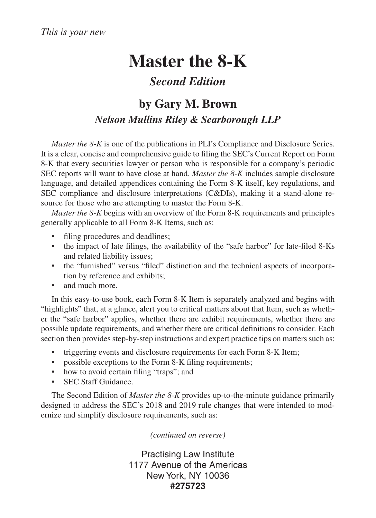## **Master the 8-K**

## *Second Edition*

## **by Gary M. Brown** *Nelson Mullins Riley & Scarborough LLP*

*Master the 8-K* is one of the publications in PLI's Compliance and Disclosure Series. It is a clear, concise and comprehensive guide to filing the SEC's Current Report on Form 8-K that every securities lawyer or person who is responsible for a company's periodic SEC reports will want to have close at hand. *Master the 8-K* includes sample disclosure language, and detailed appendices containing the Form 8-K itself, key regulations, and SEC compliance and disclosure interpretations (C&DIs), making it a stand-alone resource for those who are attempting to master the Form 8-K.

*Master the 8-K* begins with an overview of the Form 8-K requirements and principles generally applicable to all Form 8-K Items, such as:

- filing procedures and deadlines;
- the impact of late filings, the availability of the "safe harbor" for late-filed 8-Ks and related liability issues;
- the "furnished" versus "filed" distinction and the technical aspects of incorporation by reference and exhibits;
- and much more.

In this easy-to-use book, each Form 8-K Item is separately analyzed and begins with "highlights" that, at a glance, alert you to critical matters about that Item, such as whether the "safe harbor" applies, whether there are exhibit requirements, whether there are possible update requirements, and whether there are critical definitions to consider. Each section then provides step-by-step instructions and expert practice tips on matters such as:

- triggering events and disclosure requirements for each Form 8-K Item;
- possible exceptions to the Form 8-K filing requirements;
- how to avoid certain filing "traps"; and
- SEC Staff Guidance.

The Second Edition of *Master the 8-K* provides up-to-the-minute guidance primarily designed to address the SEC's 2018 and 2019 rule changes that were intended to modernize and simplify disclosure requirements, such as:

*(continued on reverse)*

Practising Law Institute 1177 Avenue of the Americas New York, NY 10036 **#275723**